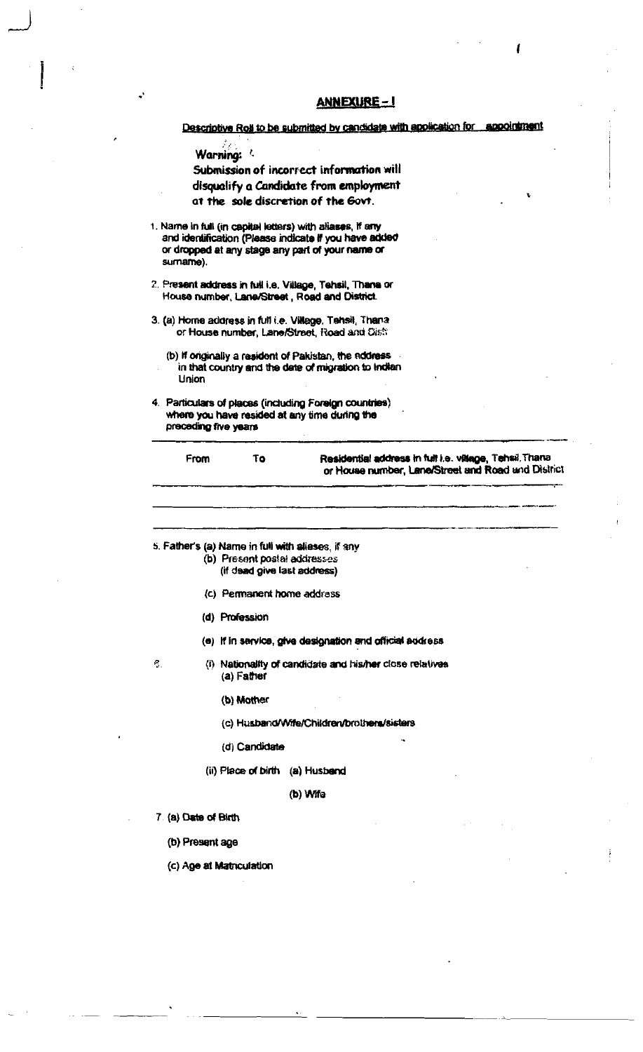|    |                      |                | Descriptive Roll to be submitted by candidate with application for appointment                                                                                         |
|----|----------------------|----------------|------------------------------------------------------------------------------------------------------------------------------------------------------------------------|
|    | Warning:             |                |                                                                                                                                                                        |
|    |                      |                | Submission of incorrect information will                                                                                                                               |
|    |                      |                | disqualify a Candidate from employment<br>at the sole discretion of the Govt.                                                                                          |
|    | sumame).             |                | 1. Name in full (in capital letters) with aliases, if any<br>and identification (Please indicate if you have added<br>or dropped at any stage any part of your name or |
|    |                      |                | 2. Present address in full i.e. Village, Tehsil, Thana or<br>House number, Lane/Street, Road and District.                                                             |
|    |                      |                | 3. (a) Home address in full i.e. Village, Tahsil, Thana<br>or House number, Lane/Street, Road and Dish                                                                 |
|    | Union                |                | (b) If originally a resident of Pakistan, the address<br>in that country and the date of migration to Indian                                                           |
|    | preceding five years |                | 4. Particulars of places (including Foreign countries)<br>where you have resided at any time during the                                                                |
|    |                      |                |                                                                                                                                                                        |
|    | From                 | To             | Residential address in full i.e. village, Tehsil, Thana<br>or House number, Lane/Street and Road and District                                                          |
|    |                      |                | 5. Father's (a) Name in full with aliases, if any<br>(b) Present postal addresses<br>(if dead give last address)                                                       |
|    |                      |                | (c) Permanent home address                                                                                                                                             |
|    |                      | (d) Profession |                                                                                                                                                                        |
|    |                      |                | (e) If in service, give designation and official address                                                                                                               |
| ξ. |                      | (a) Father     | (i) Nationality of candidate and his/her close relatives                                                                                                               |
|    |                      | (b) Mother     |                                                                                                                                                                        |
|    |                      |                | (c) Husband/Wife/Children/brothens/sisters                                                                                                                             |
|    |                      | (d) Candidate  |                                                                                                                                                                        |
|    |                      |                | (ii) Place of birth (a) Husband                                                                                                                                        |
|    |                      |                | (b) Wife                                                                                                                                                               |
|    | 7 (a) Date of Birth  |                |                                                                                                                                                                        |

Ì

 $\ddot{\cdot}$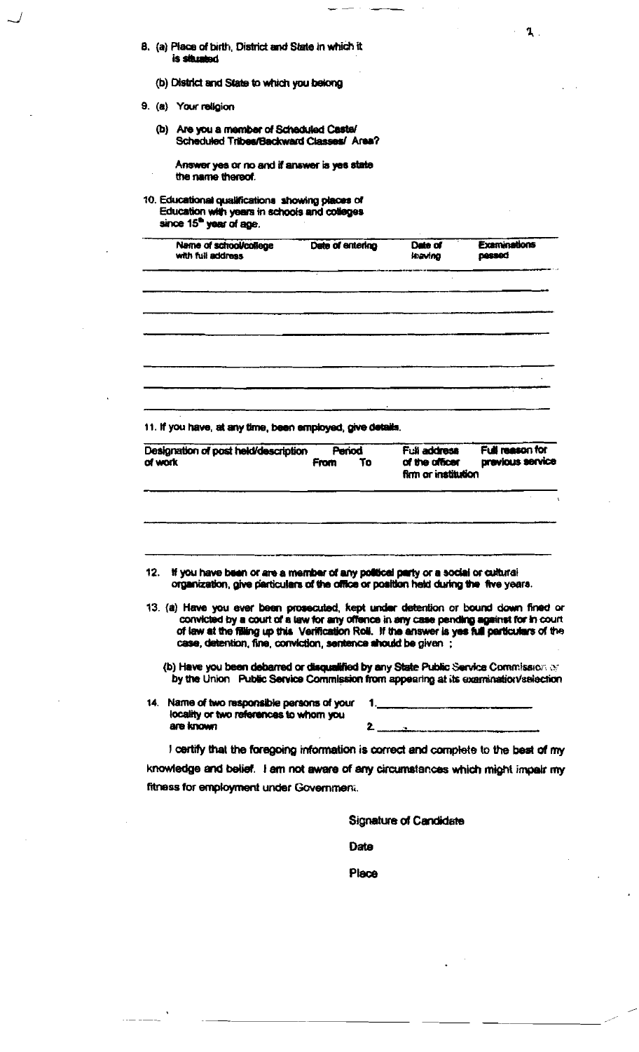- 8. (a) Place of birth, District and State in which it<br>is situated
	- (b) District and State to which you belong
- 9. (a) Your religion
	- (b) Are you a member of Scheduled Castel<br>Scheduled Tribes/Backward Classes/ Area?

Answer yes or no and if answer is yes state the name thereof.

# 10. Educational qualifications showing places of<br>Education with years in schools and colleges<br>since 15<sup>th</sup> year of age.

| Name of school/college<br>with full address | Date of entering | Date of<br><b>Jeaving</b> | Examinations<br>pessed |
|---------------------------------------------|------------------|---------------------------|------------------------|
|                                             |                  |                           |                        |
|                                             |                  |                           |                        |
|                                             |                  |                           |                        |
|                                             |                  |                           |                        |
|                                             |                  |                           |                        |

 $\mathbf{1}$ 

11. If you have, at any time, been employed, give details.

| Designation of post held/description                                                                                                                                         | Period     |  | Full address                         | Full reason for  |  |
|------------------------------------------------------------------------------------------------------------------------------------------------------------------------------|------------|--|--------------------------------------|------------------|--|
| of work                                                                                                                                                                      | To<br>From |  | of the officer<br>fkm or institution | previous service |  |
|                                                                                                                                                                              |            |  |                                      |                  |  |
| 12. If you have been or are a member of any political party or a social or cultural<br>organization, give particulars of the office or position held during the five years.  |            |  |                                      |                  |  |
| 13. (a) Have you ever been prosecuted, kept under detention or bound down fined or<br>convicted by a court of a law for any offence in any case pending against for in court |            |  |                                      |                  |  |
| of law at the filling up this Verification Roll. If the answer is yes full particulars of the<br>case, detention, fine, conviction, sentence should be given :               |            |  |                                      |                  |  |
| (b) Have you been debarred or disqualified by any State Public Service Commission or<br>by the Union Public Service Commission from appearing at its examination/selection   |            |  |                                      |                  |  |
| 14. Name of two responsible persons of your                                                                                                                                  |            |  |                                      |                  |  |
| locality or two references to whom you<br>are known                                                                                                                          |            |  |                                      | 2                |  |
| I certify that the foregoing information is correct and complete to the best of my                                                                                           |            |  |                                      |                  |  |
| knowledge and belief. I am not aware of any circumstances which might impair my                                                                                              |            |  |                                      |                  |  |
| fitness for employment under Government.                                                                                                                                     |            |  |                                      |                  |  |

Date

Place